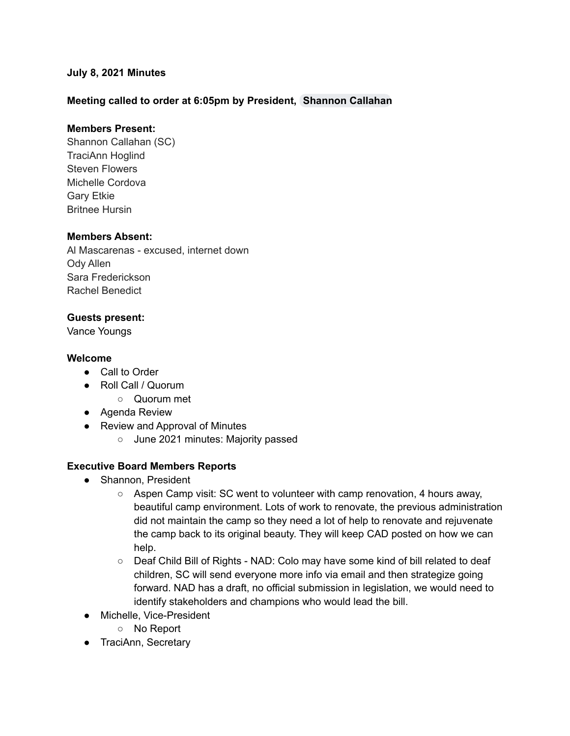## **July 8, 2021 Minutes**

## **Meeting called to order at 6:05pm by President, [Shannon](mailto:scallahan@cadeaf.org) Callahan**

## **Members Present:**

Shannon Callahan (SC) TraciAnn Hoglind Steven Flowers Michelle Cordova Gary Etkie Britnee Hursin

#### **Members Absent:**

Al Mascarenas - excused, internet down Ody Allen Sara Frederickson Rachel Benedict

### **Guests present:**

Vance Youngs

#### **Welcome**

- Call to Order
- Roll Call / Quorum
	- Quorum met
- Agenda Review
- Review and Approval of Minutes
	- June 2021 minutes: Majority passed

### **Executive Board Members Reports**

- Shannon, President
	- Aspen Camp visit: SC went to volunteer with camp renovation, 4 hours away, beautiful camp environment. Lots of work to renovate, the previous administration did not maintain the camp so they need a lot of help to renovate and rejuvenate the camp back to its original beauty. They will keep CAD posted on how we can help.
	- Deaf Child Bill of Rights NAD: Colo may have some kind of bill related to deaf children, SC will send everyone more info via email and then strategize going forward. NAD has a draft, no official submission in legislation, we would need to identify stakeholders and champions who would lead the bill.
- Michelle, Vice-President
	- No Report
- TraciAnn, Secretary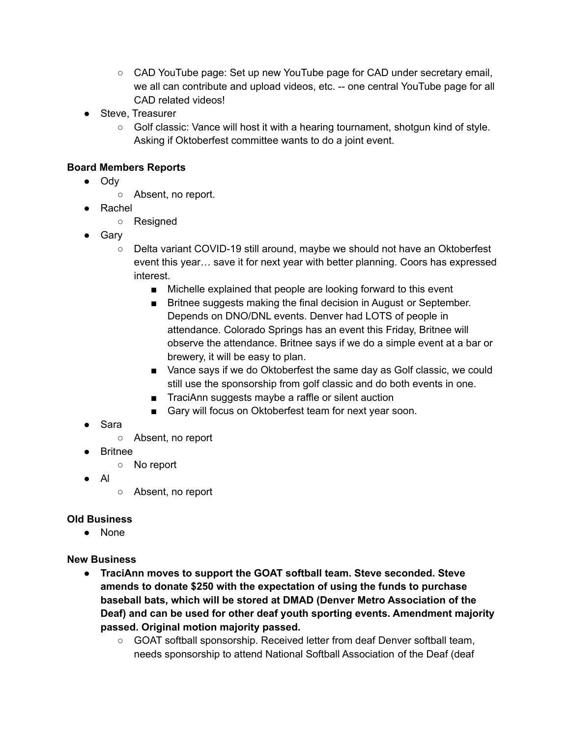- CAD YouTube page: Set up new YouTube page for CAD under secretary email, we all can contribute and upload videos, etc. -- one central YouTube page for all CAD related videos!
- Steve, Treasurer
	- $\circ$  Golf classic: Vance will host it with a hearing tournament, shotgun kind of style. Asking if Oktoberfest committee wants to do a joint event.

## **Board Members Reports**

- Ody
	- Absent, no report.
- Rachel
	- Resigned
- Gary
	- Delta variant COVID-19 still around, maybe we should not have an Oktoberfest event this year… save it for next year with better planning. Coors has expressed interest.
		- Michelle explained that people are looking forward to this event
		- Britnee suggests making the final decision in August or September. Depends on DNO/DNL events. Denver had LOTS of people in attendance. Colorado Springs has an event this Friday, Britnee will observe the attendance. Britnee says if we do a simple event at a bar or brewery, it will be easy to plan.
		- Vance says if we do Oktoberfest the same day as Golf classic, we could still use the sponsorship from golf classic and do both events in one.
		- TraciAnn suggests maybe a raffle or silent auction
		- Gary will focus on Oktoberfest team for next year soon.
- Sara
	- Absent, no report
- Britnee
	- No report
- Al
- Absent, no report

# **Old Business**

● None

# **New Business**

- **● TraciAnn moves to support the GOAT softball team. Steve seconded. Steve amends to donate \$250 with the expectation of using the funds to purchase baseball bats, which will be stored at DMAD (Denver Metro Association of the Deaf) and can be used for other deaf youth sporting events. Amendment majority passed. Original motion majority passed.**
	- GOAT softball sponsorship. Received letter from deaf Denver softball team, needs sponsorship to attend National Softball Association of the Deaf (deaf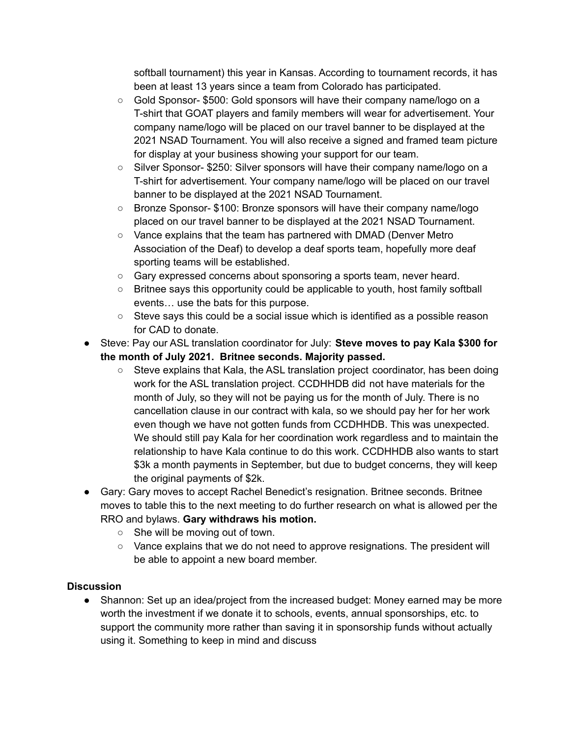softball tournament) this year in Kansas. According to tournament records, it has been at least 13 years since a team from Colorado has participated.

- Gold Sponsor- \$500: Gold sponsors will have their company name/logo on a T-shirt that GOAT players and family members will wear for advertisement. Your company name/logo will be placed on our travel banner to be displayed at the 2021 NSAD Tournament. You will also receive a signed and framed team picture for display at your business showing your support for our team.
- Silver Sponsor- \$250: Silver sponsors will have their company name/logo on a T-shirt for advertisement. Your company name/logo will be placed on our travel banner to be displayed at the 2021 NSAD Tournament.
- Bronze Sponsor- \$100: Bronze sponsors will have their company name/logo placed on our travel banner to be displayed at the 2021 NSAD Tournament.
- Vance explains that the team has partnered with DMAD (Denver Metro Association of the Deaf) to develop a deaf sports team, hopefully more deaf sporting teams will be established.
- Gary expressed concerns about sponsoring a sports team, never heard.
- Britnee says this opportunity could be applicable to youth, host family softball events… use the bats for this purpose.
- Steve says this could be a social issue which is identified as a possible reason for CAD to donate.
- Steve: Pay our ASL translation coordinator for July: **Steve moves to pay Kala \$300 for the month of July 2021. Britnee seconds. Majority passed.**
	- $\circ$  Steve explains that Kala, the ASL translation project coordinator, has been doing work for the ASL translation project. CCDHHDB did not have materials for the month of July, so they will not be paying us for the month of July. There is no cancellation clause in our contract with kala, so we should pay her for her work even though we have not gotten funds from CCDHHDB. This was unexpected. We should still pay Kala for her coordination work regardless and to maintain the relationship to have Kala continue to do this work. CCDHHDB also wants to start \$3k a month payments in September, but due to budget concerns, they will keep the original payments of \$2k.
- Gary: Gary moves to accept Rachel Benedict's resignation. Britnee seconds. Britnee moves to table this to the next meeting to do further research on what is allowed per the RRO and bylaws. **Gary withdraws his motion.**
	- She will be moving out of town.
	- Vance explains that we do not need to approve resignations. The president will be able to appoint a new board member.

## **Discussion**

• Shannon: Set up an idea/project from the increased budget: Money earned may be more worth the investment if we donate it to schools, events, annual sponsorships, etc. to support the community more rather than saving it in sponsorship funds without actually using it. Something to keep in mind and discuss